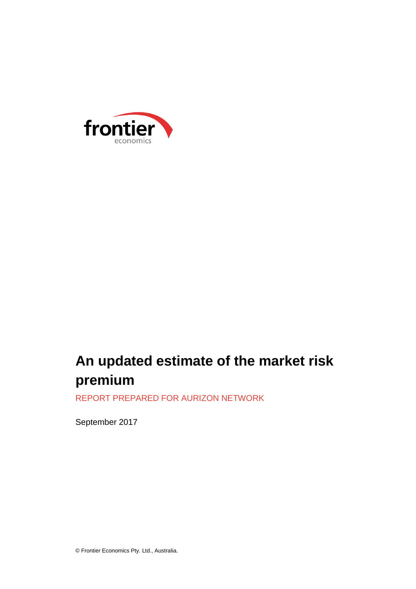

# **An updated estimate of the market risk premium**

REPORT PREPARED FOR AURIZON NETWORK

September 2017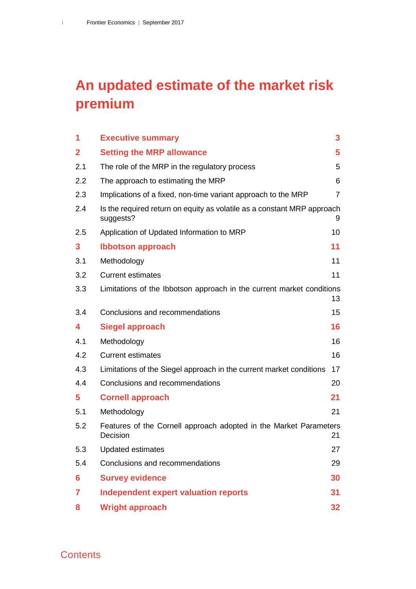# **An updated estimate of the market risk premium**

| 1            | <b>Executive summary</b>                                                             | 3               |
|--------------|--------------------------------------------------------------------------------------|-----------------|
| $\mathbf{2}$ | <b>Setting the MRP allowance</b>                                                     | 5               |
| 2.1          | The role of the MRP in the regulatory process                                        | 5               |
| 2.2          | The approach to estimating the MRP                                                   | 6               |
| 2.3          | Implications of a fixed, non-time variant approach to the MRP                        | $\overline{7}$  |
| 2.4          | Is the required return on equity as volatile as a constant MRP approach<br>suggests? | 9               |
| 2.5          | Application of Updated Information to MRP                                            | 10              |
| 3            | <b>Ibbotson approach</b>                                                             | 11              |
| 3.1          | Methodology                                                                          | 11              |
| 3.2          | <b>Current estimates</b>                                                             | 11              |
| 3.3          | Limitations of the Ibbotson approach in the current market conditions                | 13              |
| 3.4          | Conclusions and recommendations                                                      | 15              |
| 4            | <b>Siegel approach</b>                                                               | 16              |
| 4.1          | Methodology                                                                          | 16              |
| 4.2          | <b>Current estimates</b>                                                             | 16              |
| 4.3          | Limitations of the Siegel approach in the current market conditions                  | 17              |
| 4.4          | Conclusions and recommendations                                                      | 20              |
| 5            | <b>Cornell approach</b>                                                              | 21              |
| 5.1          | Methodology                                                                          | 21              |
| 5.2          | Features of the Cornell approach adopted in the Market Parameters<br>Decision        | 21              |
| 5.3          | <b>Updated estimates</b>                                                             | 27              |
| 5.4          | Conclusions and recommendations                                                      | 29              |
| 6            | <b>Survey evidence</b>                                                               | 30              |
| 7            | <b>Independent expert valuation reports</b>                                          | 31              |
| 8            | <b>Wright approach</b>                                                               | 32 <sub>2</sub> |

**Contents**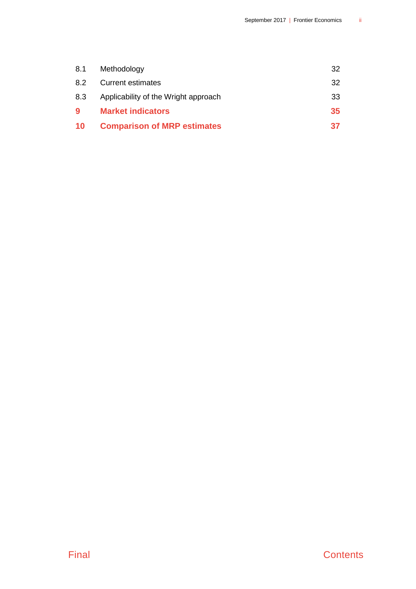| 8.1       | Methodology                          | 32 |
|-----------|--------------------------------------|----|
| 8.2       | <b>Current estimates</b>             | 32 |
| 8.3       | Applicability of the Wright approach | 33 |
| 9         | <b>Market indicators</b>             | 35 |
| <b>10</b> | <b>Comparison of MRP estimates</b>   | 37 |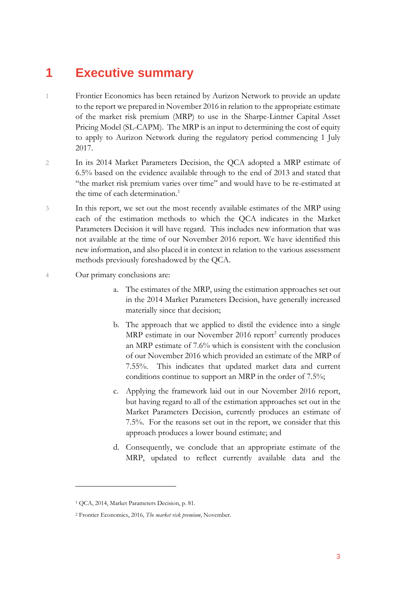## <span id="page-3-0"></span>**1 Executive summary**

- 1 Frontier Economics has been retained by Aurizon Network to provide an update to the report we prepared in November 2016 in relation to the appropriate estimate of the market risk premium (MRP) to use in the Sharpe-Lintner Capital Asset Pricing Model (SL-CAPM). The MRP is an input to determining the cost of equity to apply to Aurizon Network during the regulatory period commencing 1 July 2017.
- 2 In its 2014 Market Parameters Decision, the QCA adopted a MRP estimate of 6.5% based on the evidence available through to the end of 2013 and stated that "the market risk premium varies over time" and would have to be re-estimated at the time of each determination.<sup>[1](#page-3-1)</sup>
- 3 In this report, we set out the most recently available estimates of the MRP using each of the estimation methods to which the QCA indicates in the Market Parameters Decision it will have regard. This includes new information that was not available at the time of our November 2016 report. We have identified this new information, and also placed it in context in relation to the various assessment methods previously foreshadowed by the QCA.
- 4 Our primary conclusions are:
	- a. The estimates of the MRP, using the estimation approaches set out in the 2014 Market Parameters Decision, have generally increased materially since that decision;
	- b. The approach that we applied to distil the evidence into a single MRP estimate in our November  $2016$  $2016$  report<sup>2</sup> currently produces an MRP estimate of 7.6% which is consistent with the conclusion of our November 2016 which provided an estimate of the MRP of 7.55%. This indicates that updated market data and current conditions continue to support an MRP in the order of 7.5%;
	- c. Applying the framework laid out in our November 2016 report, but having regard to all of the estimation approaches set out in the Market Parameters Decision, currently produces an estimate of 7.5%. For the reasons set out in the report, we consider that this approach produces a lower bound estimate; and
	- d. Consequently, we conclude that an appropriate estimate of the MRP, updated to reflect currently available data and the

<span id="page-3-1"></span><sup>1</sup> QCA, 2014, Market Parameters Decision, p. 81.

<span id="page-3-2"></span><sup>2</sup> Frontier Economics, 2016, *The market risk premium*, November.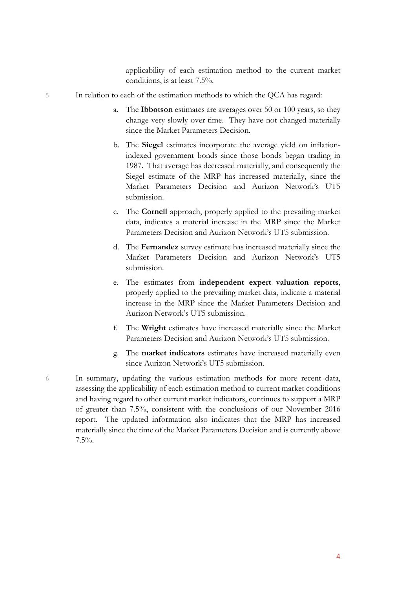applicability of each estimation method to the current market conditions, is at least 7.5%.

- 5 In relation to each of the estimation methods to which the QCA has regard:
	- a. The **Ibbotson** estimates are averages over 50 or 100 years, so they change very slowly over time. They have not changed materially since the Market Parameters Decision.
	- b. The **Siegel** estimates incorporate the average yield on inflationindexed government bonds since those bonds began trading in 1987. That average has decreased materially, and consequently the Siegel estimate of the MRP has increased materially, since the Market Parameters Decision and Aurizon Network's UT5 submission.
	- c. The **Cornell** approach, properly applied to the prevailing market data, indicates a material increase in the MRP since the Market Parameters Decision and Aurizon Network's UT5 submission.
	- d. The **Fernandez** survey estimate has increased materially since the Market Parameters Decision and Aurizon Network's UT5 submission.
	- e. The estimates from **independent expert valuation reports**, properly applied to the prevailing market data, indicate a material increase in the MRP since the Market Parameters Decision and Aurizon Network's UT5 submission.
	- f. The **Wright** estimates have increased materially since the Market Parameters Decision and Aurizon Network's UT5 submission.
	- g. The **market indicators** estimates have increased materially even since Aurizon Network's UT5 submission.

6 In summary, updating the various estimation methods for more recent data, assessing the applicability of each estimation method to current market conditions and having regard to other current market indicators, continues to support a MRP of greater than 7.5%, consistent with the conclusions of our November 2016 report. The updated information also indicates that the MRP has increased materially since the time of the Market Parameters Decision and is currently above 7.5%.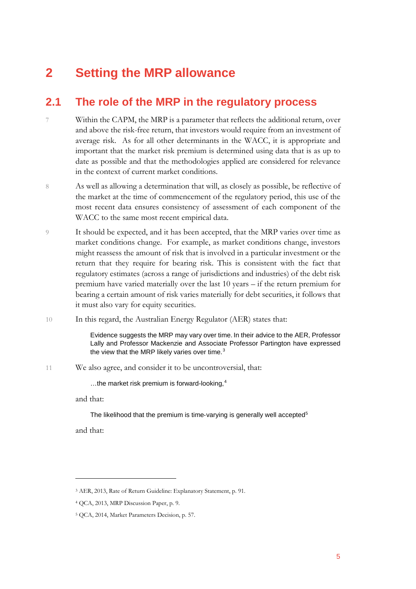## <span id="page-5-0"></span>**2 Setting the MRP allowance**

### <span id="page-5-1"></span>**2.1 The role of the MRP in the regulatory process**

- 7 Within the CAPM, the MRP is a parameter that reflects the additional return, over and above the risk-free return, that investors would require from an investment of average risk. As for all other determinants in the WACC, it is appropriate and important that the market risk premium is determined using data that is as up to date as possible and that the methodologies applied are considered for relevance in the context of current market conditions.
- 8 As well as allowing a determination that will, as closely as possible, be reflective of the market at the time of commencement of the regulatory period, this use of the most recent data ensures consistency of assessment of each component of the WACC to the same most recent empirical data.
- 9 It should be expected, and it has been accepted, that the MRP varies over time as market conditions change. For example, as market conditions change, investors might reassess the amount of risk that is involved in a particular investment or the return that they require for bearing risk. This is consistent with the fact that regulatory estimates (across a range of jurisdictions and industries) of the debt risk premium have varied materially over the last 10 years – if the return premium for bearing a certain amount of risk varies materially for debt securities, it follows that it must also vary for equity securities.
- 10 In this regard, the Australian Energy Regulator (AER) states that:

Evidence suggests the MRP may vary over time. In their advice to the AER, Professor Lally and Professor Mackenzie and Associate Professor Partington have expressed the view that the MRP likely varies over time.<sup>[3](#page-5-2)</sup>

11 We also agree, and consider it to be uncontroversial, that:

…the market risk premium is forward-looking, [4](#page-5-3)

and that:

The likelihood that the premium is time-varying is generally well accepted<sup>[5](#page-5-4)</sup>

and that:

<span id="page-5-2"></span><sup>3</sup> AER, 2013, Rate of Return Guideline: Explanatory Statement, p. 91.

<span id="page-5-3"></span><sup>4</sup> QCA, 2013, MRP Discussion Paper, p. 9.

<span id="page-5-4"></span><sup>5</sup> QCA, 2014, Market Parameters Decision, p. 57.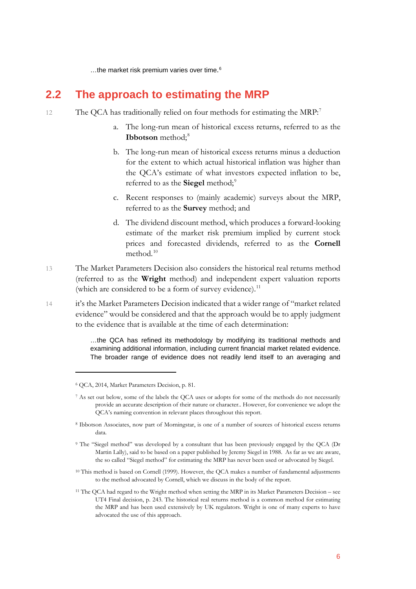<span id="page-6-0"></span>…the market risk premium varies over time. [6](#page-6-1)

### **2.2 The approach to estimating the MRP**

- 12 The QCA has traditionally relied on four methods for estimating the MRP:<sup>[7](#page-6-2)</sup>
	- a. The long-run mean of historical excess returns, referred to as the **Ibbotson** method;<sup>[8](#page-6-3)</sup>
	- b. The long-run mean of historical excess returns minus a deduction for the extent to which actual historical inflation was higher than the QCA's estimate of what investors expected inflation to be, referred to as the **Siegel** method;<sup>[9](#page-6-4)</sup>
	- c. Recent responses to (mainly academic) surveys about the MRP, referred to as the **Survey** method; and
	- d. The dividend discount method, which produces a forward-looking estimate of the market risk premium implied by current stock prices and forecasted dividends, referred to as the **Cornell** method.<sup>[10](#page-6-5)</sup>
- 13 The Market Parameters Decision also considers the historical real returns method (referred to as the **Wright** method) and independent expert valuation reports (which are considered to be a form of survey evidence).<sup>[11](#page-6-6)</sup>
- 14 it's the Market Parameters Decision indicated that a wider range of "market related evidence" would be considered and that the approach would be to apply judgment to the evidence that is available at the time of each determination:

…the QCA has refined its methodology by modifying its traditional methods and examining additional information, including current financial market related evidence. The broader range of evidence does not readily lend itself to an averaging and

<span id="page-6-1"></span><sup>6</sup> QCA, 2014, Market Parameters Decision, p. 81.

<span id="page-6-2"></span><sup>7</sup> As set out below, some of the labels the QCA uses or adopts for some of the methods do not necessarily provide an accurate description of their nature or character.. However, for convenience we adopt the QCA's naming convention in relevant places throughout this report.

<span id="page-6-3"></span><sup>8</sup> Ibbotson Associates, now part of Morningstar, is one of a number of sources of historical excess returns data.

<span id="page-6-4"></span><sup>9</sup> The "Siegel method" was developed by a consultant that has been previously engaged by the QCA (Dr Martin Lally), said to be based on a paper published by Jeremy Siegel in 1988. As far as we are aware, the so called "Siegel method" for estimating the MRP has never been used or advocated by Siegel.

<span id="page-6-5"></span><sup>&</sup>lt;sup>10</sup> This method is based on Cornell (1999). However, the QCA makes a number of fundamental adjustments to the method advocated by Cornell, which we discuss in the body of the report.

<span id="page-6-6"></span><sup>11</sup> The QCA had regard to the Wright method when setting the MRP in its Market Parameters Decision – see UT4 Final decision, p. 243. The historical real returns method is a common method for estimating the MRP and has been used extensively by UK regulators. Wright is one of many experts to have advocated the use of this approach.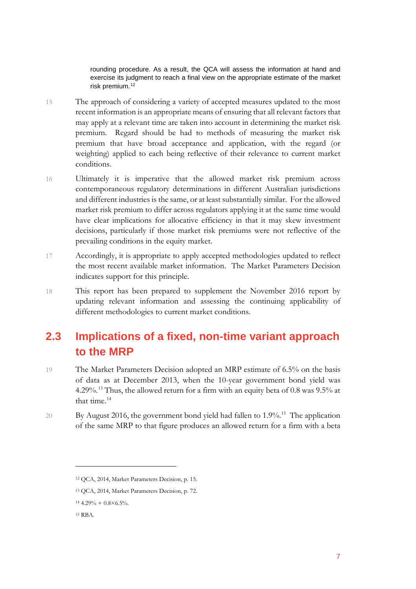rounding procedure. As a result, the QCA will assess the information at hand and exercise its judgment to reach a final view on the appropriate estimate of the market risk premium.<sup>[12](#page-7-1)</sup>

- 15 The approach of considering a variety of accepted measures updated to the most recent information is an appropriate means of ensuring that all relevant factors that may apply at a relevant time are taken into account in determining the market risk premium. Regard should be had to methods of measuring the market risk premium that have broad acceptance and application, with the regard (or weighting) applied to each being reflective of their relevance to current market conditions.
- 16 Ultimately it is imperative that the allowed market risk premium across contemporaneous regulatory determinations in different Australian jurisdictions and different industries is the same, or at least substantially similar. For the allowed market risk premium to differ across regulators applying it at the same time would have clear implications for allocative efficiency in that it may skew investment decisions, particularly if those market risk premiums were not reflective of the prevailing conditions in the equity market.
- 17 Accordingly, it is appropriate to apply accepted methodologies updated to reflect the most recent available market information. The Market Parameters Decision indicates support for this principle.
- 18 This report has been prepared to supplement the November 2016 report by updating relevant information and assessing the continuing applicability of different methodologies to current market conditions.

## <span id="page-7-0"></span>**2.3 Implications of a fixed, non-time variant approach to the MRP**

- 19 The Market Parameters Decision adopted an MRP estimate of 6.5% on the basis of data as at December 2013, when the 10-year government bond yield was 4.29%.<sup>[13](#page-7-2)</sup> Thus, the allowed return for a firm with an equity beta of 0.8 was 9.5% at that time. [14](#page-7-3)
- 20 By August 2016, the government bond yield had fallen to 1.9%. [15](#page-7-4) The application of the same MRP to that figure produces an allowed return for a firm with a beta

<span id="page-7-1"></span><sup>12</sup> QCA, 2014, Market Parameters Decision, p. 15.

<span id="page-7-2"></span><sup>13</sup> QCA, 2014, Market Parameters Decision, p. 72.

<span id="page-7-3"></span> $14\ 4.29\% + 0.8 \times 6.5\%$ .

<span id="page-7-4"></span><sup>15</sup> RBA.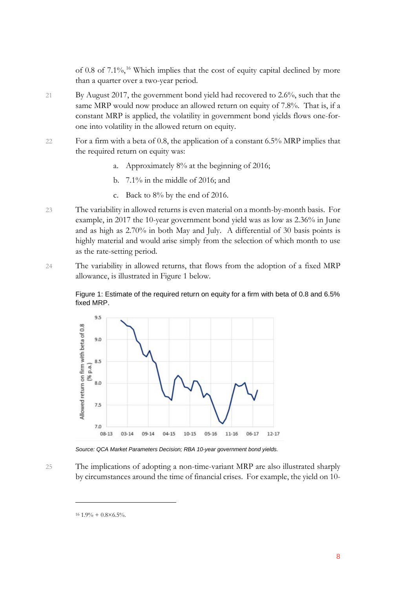of 0.8 of 7.1%, [16](#page-8-0) Which implies that the cost of equity capital declined by more than a quarter over a two-year period.

- 21 By August 2017, the government bond yield had recovered to 2.6%, such that the same MRP would now produce an allowed return on equity of 7.8%. That is, if a constant MRP is applied, the volatility in government bond yields flows one-forone into volatility in the allowed return on equity.
- 22 For a firm with a beta of 0.8, the application of a constant 6.5% MRP implies that the required return on equity was:
	- a. Approximately 8% at the beginning of 2016;
	- b. 7.1% in the middle of 2016; and
	- c. Back to 8% by the end of 2016.
- 23 The variability in allowed returns is even material on a month-by-month basis. For example, in 2017 the 10-year government bond yield was as low as 2.36% in June and as high as 2.70% in both May and July. A differential of 30 basis points is highly material and would arise simply from the selection of which month to use as the rate-setting period.
- 24 The variability in allowed returns, that flows from the adoption of a fixed MRP allowance, is illustrated in Figure 1 below.

Figure 1: Estimate of the required return on equity for a firm with beta of 0.8 and 6.5% fixed MRP.



*Source: QCA Market Parameters Decision; RBA 10-year government bond yields.*

<span id="page-8-0"></span>25 The implications of adopting a non-time-variant MRP are also illustrated sharply by circumstances around the time of financial crises. For example, the yield on 10-

 $16$  1.9% + 0.8×6.5%.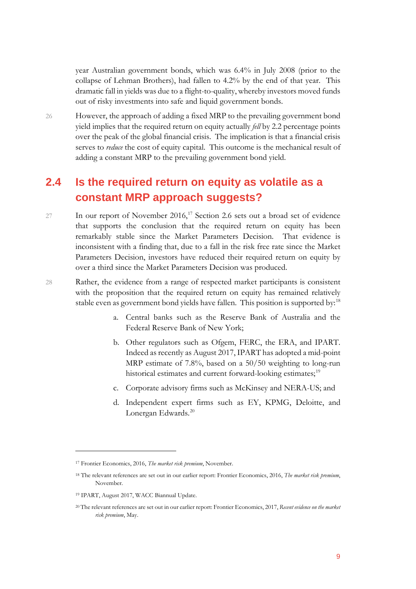year Australian government bonds, which was 6.4% in July 2008 (prior to the collapse of Lehman Brothers), had fallen to 4.2% by the end of that year. This dramatic fall in yields was due to a flight-to-quality, whereby investors moved funds out of risky investments into safe and liquid government bonds.

26 However, the approach of adding a fixed MRP to the prevailing government bond yield implies that the required return on equity actually *fell* by 2.2 percentage points over the peak of the global financial crisis. The implication is that a financial crisis serves to *reduce* the cost of equity capital. This outcome is the mechanical result of adding a constant MRP to the prevailing government bond yield.

### <span id="page-9-0"></span>**2.4 Is the required return on equity as volatile as a constant MRP approach suggests?**

- 27 In our report of November 2016,<sup>[17](#page-9-1)</sup> Section 2.6 sets out a broad set of evidence that supports the conclusion that the required return on equity has been remarkably stable since the Market Parameters Decision. That evidence is inconsistent with a finding that, due to a fall in the risk free rate since the Market Parameters Decision, investors have reduced their required return on equity by over a third since the Market Parameters Decision was produced.
- 28 Rather, the evidence from a range of respected market participants is consistent with the proposition that the required return on equity has remained relatively stable even as government bond yields have fallen. This position is supported by:<sup>[18](#page-9-2)</sup>
	- a. Central banks such as the Reserve Bank of Australia and the Federal Reserve Bank of New York;
	- b. Other regulators such as Ofgem, FERC, the ERA, and IPART. Indeed as recently as August 2017, IPART has adopted a mid-point MRP estimate of 7.8%, based on a 50/50 weighting to long-run historical estimates and current forward-looking estimates;<sup>[19](#page-9-3)</sup>
	- c. Corporate advisory firms such as McKinsey and NERA-US; and
	- d. Independent expert firms such as EY, KPMG, Deloitte, and Lonergan Edwards.<sup>[20](#page-9-4)</sup>

<span id="page-9-1"></span><sup>17</sup> Frontier Economics, 2016, *The market risk premium*, November.

<span id="page-9-2"></span><sup>18</sup> The relevant references are set out in our earlier report: Frontier Economics, 2016, *The market risk premium*, November.

<span id="page-9-3"></span><sup>19</sup> IPART, August 2017, WACC Biannual Update.

<span id="page-9-4"></span><sup>20</sup> The relevant references are set out in our earlier report: Frontier Economics, 2017, *Recent evidence on the market risk premium*, May.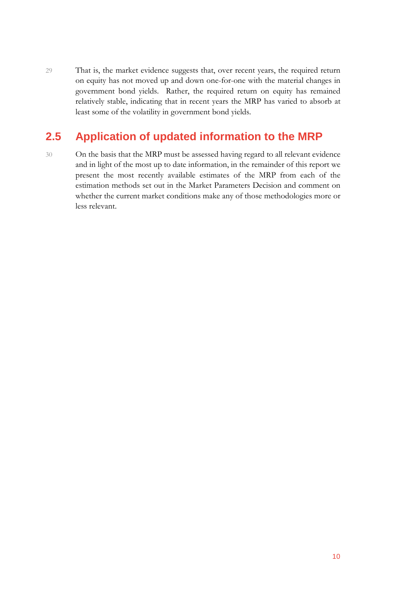29 That is, the market evidence suggests that, over recent years, the required return on equity has not moved up and down one-for-one with the material changes in government bond yields. Rather, the required return on equity has remained relatively stable, indicating that in recent years the MRP has varied to absorb at least some of the volatility in government bond yields.

## <span id="page-10-0"></span>**2.5 Application of updated information to the MRP**

30 On the basis that the MRP must be assessed having regard to all relevant evidence and in light of the most up to date information, in the remainder of this report we present the most recently available estimates of the MRP from each of the estimation methods set out in the Market Parameters Decision and comment on whether the current market conditions make any of those methodologies more or less relevant.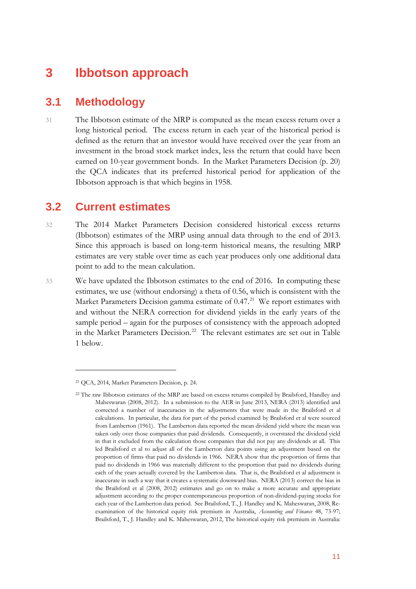## <span id="page-11-0"></span>**3 Ibbotson approach**

#### <span id="page-11-1"></span>**3.1 Methodology**

31 The Ibbotson estimate of the MRP is computed as the mean excess return over a long historical period. The excess return in each year of the historical period is defined as the return that an investor would have received over the year from an investment in the broad stock market index, less the return that could have been earned on 10-year government bonds. In the Market Parameters Decision (p. 20) the QCA indicates that its preferred historical period for application of the Ibbotson approach is that which begins in 1958.

#### <span id="page-11-2"></span>**3.2 Current estimates**

- 32 The 2014 Market Parameters Decision considered historical excess returns (Ibbotson) estimates of the MRP using annual data through to the end of 2013. Since this approach is based on long-term historical means, the resulting MRP estimates are very stable over time as each year produces only one additional data point to add to the mean calculation.
- 33 We have updated the Ibbotson estimates to the end of 2016. In computing these estimates, we use (without endorsing) a theta of 0.56, which is consistent with the Market Parameters Decision gamma estimate of 0.47.<sup>21</sup> We report estimates with and without the NERA correction for dividend yields in the early years of the sample period – again for the purposes of consistency with the approach adopted in the Market Parameters Decision. [22](#page-11-4) The relevant estimates are set out in Table 1 below.

<span id="page-11-3"></span><sup>21</sup> QCA, 2014, Market Parameters Decision, p. 24.

<span id="page-11-4"></span><sup>22</sup> The raw Ibbotson estimates of the MRP are based on excess returns compiled by Brailsford, Handley and Maheswaran (2008, 2012). In a submission to the AER in June 2013, NERA (2013) identified and corrected a number of inaccuracies in the adjustments that were made in the Brailsford et al calculations. In particular, the data for part of the period examined by Brailsford et al were sourced from Lamberton (1961). The Lamberton data reported the mean dividend yield where the mean was taken only over those companies that paid dividends. Consequently, it overstated the dividend yield in that it excluded from the calculation those companies that did not pay any dividends at all. This led Brailsford et al to adjust all of the Lamberton data points using an adjustment based on the proportion of firms that paid no dividends in 1966. NERA show that the proportion of firms that paid no dividends in 1966 was materially different to the proportion that paid no dividends during each of the years actually covered by the Lamberton data. That is, the Brailsford et al adjustment is inaccurate in such a way that it creates a systematic downward bias. NERA (2013) correct the bias in the Brailsford et al (2008, 2012) estimates and go on to make a more accurate and appropriate adjustment according to the proper contemporaneous proportion of non-dividend-paying stocks for each year of the Lamberton data period. See Brailsford, T., J. Handley and K. Maheswaran, 2008, Reexamination of the historical equity risk premium in Australia, *Accounting and Finance* 48, 73-97; Brailsford, T., J. Handley and K. Maheswaran, 2012, The historical equity risk premium in Australia: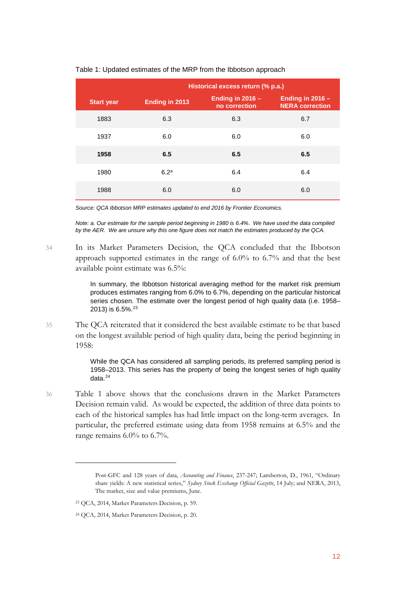|                   | Historical excess return (% p.a.) |                                     |                                              |
|-------------------|-----------------------------------|-------------------------------------|----------------------------------------------|
| <b>Start year</b> | Ending in 2013                    | Ending in $2016 -$<br>no correction | Ending in $2016 -$<br><b>NERA correction</b> |
| 1883              | 6.3                               | 6.3                                 | 6.7                                          |
| 1937              | 6.0                               | 6.0                                 | 6.0                                          |
| 1958              | 6.5                               | 6.5                                 | 6.5                                          |
| 1980              | 6.2 <sup>a</sup>                  | 6.4                                 | 6.4                                          |
| 1988              | 6.0                               | 6.0                                 | 6.0                                          |

#### Table 1: Updated estimates of the MRP from the Ibbotson approach

*Source: QCA Ibbotson MRP estimates updated to end 2016 by Frontier Economics.* 

*Note: a. Our estimate for the sample period beginning in 1980 is 6.4%. We have used the data compiled by the AER. We are unsure why this one figure does not match the estimates produced by the QCA.*

34 In its Market Parameters Decision, the QCA concluded that the Ibbotson approach supported estimates in the range of 6.0% to 6.7% and that the best available point estimate was 6.5%:

> In summary, the Ibbotson historical averaging method for the market risk premium produces estimates ranging from 6.0% to 6.7%, depending on the particular historical series chosen. The estimate over the longest period of high quality data (i.e. 1958– 2013) is 6.5%.<sup>[23](#page-12-0)</sup>

35 The QCA reiterated that it considered the best available estimate to be that based on the longest available period of high quality data, being the period beginning in 1958:

> While the QCA has considered all sampling periods, its preferred sampling period is 1958–2013. This series has the property of being the longest series of high quality data.<sup>[24](#page-12-1)</sup>

36 Table 1 above shows that the conclusions drawn in the Market Parameters Decision remain valid. As would be expected, the addition of three data points to each of the historical samples has had little impact on the long-term averages. In particular, the preferred estimate using data from 1958 remains at 6.5% and the range remains 6.0% to 6.7%.

Post-GFC and 128 years of data, *Accounting and Finance*, 237-247; Lamberton, D., 1961, "Ordinary share yields: A new statistical series," *Sydney Stock Exchange Official Gazette*, 14 July; and NERA, 2013, The market, size and value premiums, June.

<span id="page-12-0"></span><sup>23</sup> QCA, 2014, Market Parameters Decision, p. 59.

<span id="page-12-1"></span><sup>24</sup> QCA, 2014, Market Parameters Decision, p. 20.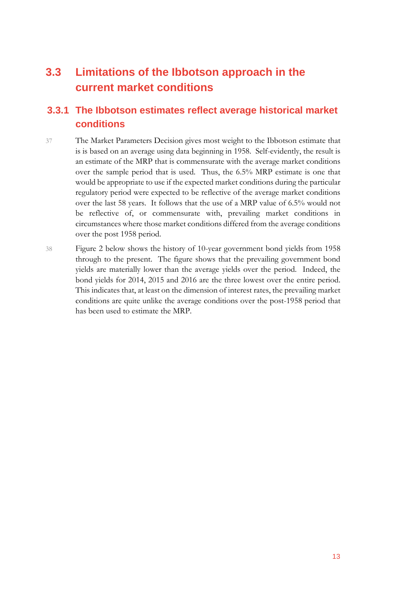## <span id="page-13-0"></span>**3.3 Limitations of the Ibbotson approach in the current market conditions**

### **3.3.1 The Ibbotson estimates reflect average historical market conditions**

- 37 The Market Parameters Decision gives most weight to the Ibbotson estimate that is is based on an average using data beginning in 1958. Self-evidently, the result is an estimate of the MRP that is commensurate with the average market conditions over the sample period that is used. Thus, the 6.5% MRP estimate is one that would be appropriate to use if the expected market conditions during the particular regulatory period were expected to be reflective of the average market conditions over the last 58 years. It follows that the use of a MRP value of 6.5% would not be reflective of, or commensurate with, prevailing market conditions in circumstances where those market conditions differed from the average conditions over the post 1958 period.
- 38 Figure 2 below shows the history of 10-year government bond yields from 1958 through to the present. The figure shows that the prevailing government bond yields are materially lower than the average yields over the period. Indeed, the bond yields for 2014, 2015 and 2016 are the three lowest over the entire period. This indicates that, at least on the dimension of interest rates, the prevailing market conditions are quite unlike the average conditions over the post-1958 period that has been used to estimate the MRP.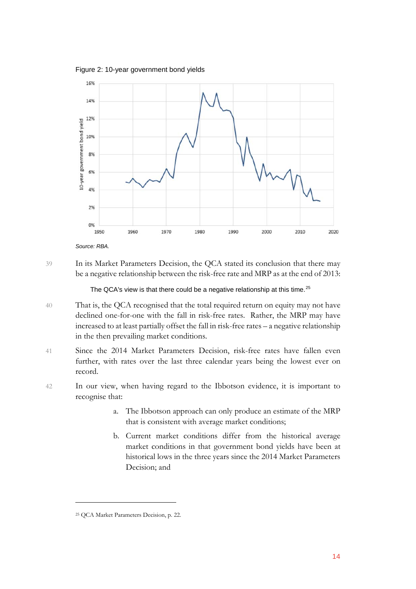Figure 2: 10-year government bond yields



*Source: RBA.*

39 In its Market Parameters Decision, the QCA stated its conclusion that there may be a negative relationship between the risk-free rate and MRP as at the end of 2013:

The QCA's view is that there could be a negative relationship at this time.<sup>[25](#page-14-0)</sup>

- 40 That is, the QCA recognised that the total required return on equity may not have declined one-for-one with the fall in risk-free rates. Rather, the MRP may have increased to at least partially offset the fall in risk-free rates – a negative relationship in the then prevailing market conditions.
- 41 Since the 2014 Market Parameters Decision, risk-free rates have fallen even further, with rates over the last three calendar years being the lowest ever on record.
- 42 In our view, when having regard to the Ibbotson evidence, it is important to recognise that:
	- a. The Ibbotson approach can only produce an estimate of the MRP that is consistent with average market conditions;
	- b. Current market conditions differ from the historical average market conditions in that government bond yields have been at historical lows in the three years since the 2014 Market Parameters Decision; and

<span id="page-14-0"></span><sup>25</sup> QCA Market Parameters Decision, p. 22.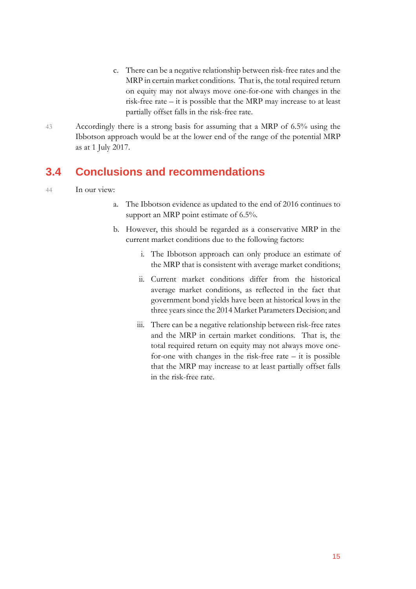- c. There can be a negative relationship between risk-free rates and the MRP in certain market conditions. That is, the total required return on equity may not always move one-for-one with changes in the risk-free rate – it is possible that the MRP may increase to at least partially offset falls in the risk-free rate.
- 43 Accordingly there is a strong basis for assuming that a MRP of 6.5% using the Ibbotson approach would be at the lower end of the range of the potential MRP as at 1 July 2017.

### <span id="page-15-0"></span>**3.4 Conclusions and recommendations**

#### 44 In our view:

- a. The Ibbotson evidence as updated to the end of 2016 continues to support an MRP point estimate of 6.5%.
- b. However, this should be regarded as a conservative MRP in the current market conditions due to the following factors:
	- i. The Ibbotson approach can only produce an estimate of the MRP that is consistent with average market conditions;
	- ii. Current market conditions differ from the historical average market conditions, as reflected in the fact that government bond yields have been at historical lows in the three years since the 2014 Market Parameters Decision; and
	- iii. There can be a negative relationship between risk-free rates and the MRP in certain market conditions. That is, the total required return on equity may not always move onefor-one with changes in the risk-free rate – it is possible that the MRP may increase to at least partially offset falls in the risk-free rate.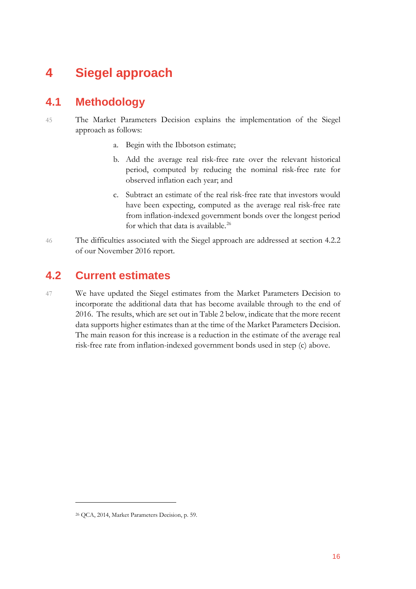## <span id="page-16-0"></span>**4 Siegel approach**

### <span id="page-16-1"></span>**4.1 Methodology**

- 45 The Market Parameters Decision explains the implementation of the Siegel approach as follows:
	- a. Begin with the Ibbotson estimate;
	- b. Add the average real risk-free rate over the relevant historical period, computed by reducing the nominal risk-free rate for observed inflation each year; and
	- c. Subtract an estimate of the real risk-free rate that investors would have been expecting, computed as the average real risk-free rate from inflation-indexed government bonds over the longest period for which that data is available.<sup>[26](#page-16-3)</sup>
- 46 The difficulties associated with the Siegel approach are addressed at section 4.2.2 of our November 2016 report.

### <span id="page-16-2"></span>**4.2 Current estimates**

47 We have updated the Siegel estimates from the Market Parameters Decision to incorporate the additional data that has become available through to the end of 2016. The results, which are set out in Table 2 below, indicate that the more recent data supports higher estimates than at the time of the Market Parameters Decision. The main reason for this increase is a reduction in the estimate of the average real risk-free rate from inflation-indexed government bonds used in step (c) above.

<span id="page-16-3"></span><sup>26</sup> QCA, 2014, Market Parameters Decision, p. 59.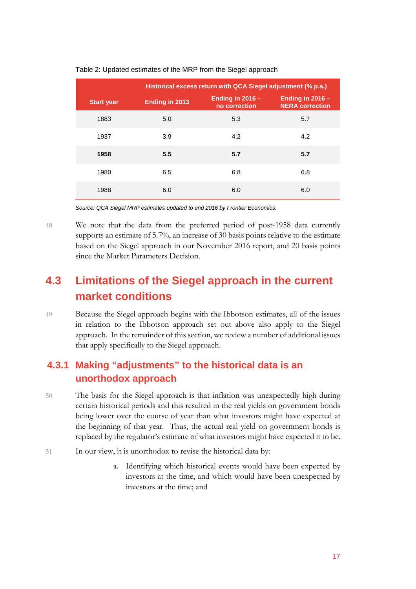|                   | Historical excess return with QCA Siegel adjustment (% p.a.) |                                     |                                              |
|-------------------|--------------------------------------------------------------|-------------------------------------|----------------------------------------------|
| <b>Start year</b> | <b>Ending in 2013</b>                                        | Ending in $2016 -$<br>no correction | Ending in $2016 -$<br><b>NERA</b> correction |
| 1883              | 5.0                                                          | 5.3                                 | 5.7                                          |
| 1937              | 3.9                                                          | 4.2                                 | 4.2                                          |
| 1958              | 5.5                                                          | 5.7                                 | 5.7                                          |
| 1980              | 6.5                                                          | 6.8                                 | 6.8                                          |
| 1988              | 6.0                                                          | 6.0                                 | 6.0                                          |

#### Table 2: Updated estimates of the MRP from the Siegel approach

*Source: QCA Siegel MRP estimates updated to end 2016 by Frontier Economics.* 

48 We note that the data from the preferred period of post-1958 data currently supports an estimate of 5.7%, an increase of 30 basis points relative to the estimate based on the Siegel approach in our November 2016 report, and 20 basis points since the Market Parameters Decision.

## <span id="page-17-0"></span>**4.3 Limitations of the Siegel approach in the current market conditions**

49 Because the Siegel approach begins with the Ibbotson estimates, all of the issues in relation to the Ibbotson approach set out above also apply to the Siegel approach. In the remainder of this section, we review a number of additional issues that apply specifically to the Siegel approach.

### **4.3.1 Making "adjustments" to the historical data is an unorthodox approach**

- 50 The basis for the Siegel approach is that inflation was unexpectedly high during certain historical periods and this resulted in the real yields on government bonds being lower over the course of year than what investors might have expected at the beginning of that year. Thus, the actual real yield on government bonds is replaced by the regulator's estimate of what investors might have expected it to be.
- 51 In our view, it is unorthodox to revise the historical data by:
	- a. Identifying which historical events would have been expected by investors at the time, and which would have been unexpected by investors at the time; and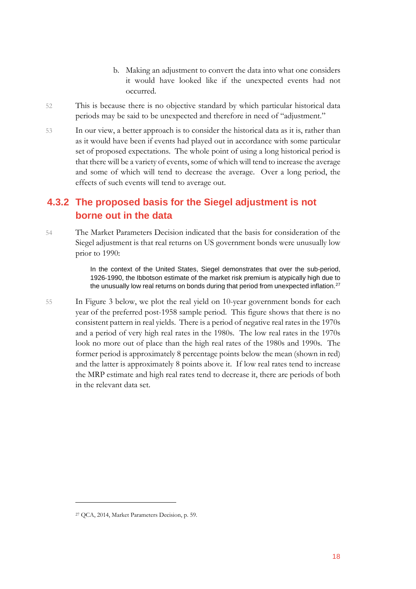- b. Making an adjustment to convert the data into what one considers it would have looked like if the unexpected events had not occurred.
- 52 This is because there is no objective standard by which particular historical data periods may be said to be unexpected and therefore in need of "adjustment."
- 53 In our view, a better approach is to consider the historical data as it is, rather than as it would have been if events had played out in accordance with some particular set of proposed expectations. The whole point of using a long historical period is that there will be a variety of events, some of which will tend to increase the average and some of which will tend to decrease the average. Over a long period, the effects of such events will tend to average out.

### **4.3.2 The proposed basis for the Siegel adjustment is not borne out in the data**

54 The Market Parameters Decision indicated that the basis for consideration of the Siegel adjustment is that real returns on US government bonds were unusually low prior to 1990:

> In the context of the United States, Siegel demonstrates that over the sub-period, 1926‐1990, the Ibbotson estimate of the market risk premium is atypically high due to the unusually low real returns on bonds during that period from unexpected inflation.<sup>[27](#page-18-0)</sup>

55 In Figure 3 below, we plot the real yield on 10-year government bonds for each year of the preferred post-1958 sample period. This figure shows that there is no consistent pattern in real yields. There is a period of negative real rates in the 1970s and a period of very high real rates in the 1980s. The low real rates in the 1970s look no more out of place than the high real rates of the 1980s and 1990s. The former period is approximately 8 percentage points below the mean (shown in red) and the latter is approximately 8 points above it. If low real rates tend to increase the MRP estimate and high real rates tend to decrease it, there are periods of both in the relevant data set.

<span id="page-18-0"></span><sup>27</sup> QCA, 2014, Market Parameters Decision, p. 59.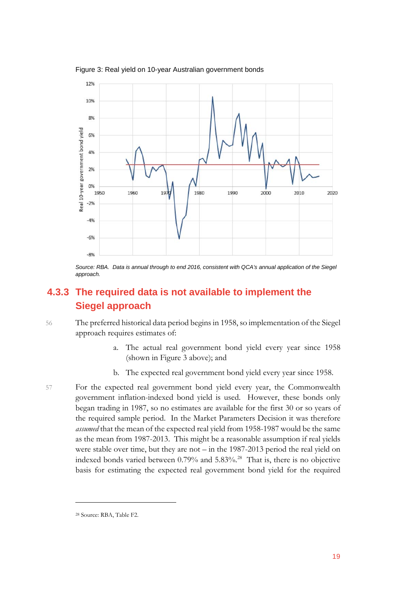

Figure 3: Real yield on 10-year Australian government bonds

#### **4.3.3 The required data is not available to implement the Siegel approach**

56 The preferred historical data period begins in 1958, so implementation of the Siegel approach requires estimates of:

- a. The actual real government bond yield every year since 1958 (shown in Figure 3 above); and
- b. The expected real government bond yield every year since 1958.
- 57 For the expected real government bond yield every year, the Commonwealth government inflation-indexed bond yield is used. However, these bonds only began trading in 1987, so no estimates are available for the first 30 or so years of the required sample period. In the Market Parameters Decision it was therefore *assumed* that the mean of the expected real yield from 1958-1987 would be the same as the mean from 1987-2013. This might be a reasonable assumption if real yields were stable over time, but they are not – in the 1987-2013 period the real yield on indexed bonds varied between 0.79% and 5.83%.[28](#page-19-0) That is, there is no objective basis for estimating the expected real government bond yield for the required

Source: RBA. Data is annual through to end 2016, consistent with QCA's annual application of the Siegel *approach.*

<span id="page-19-0"></span><sup>28</sup> Source: RBA, Table F2.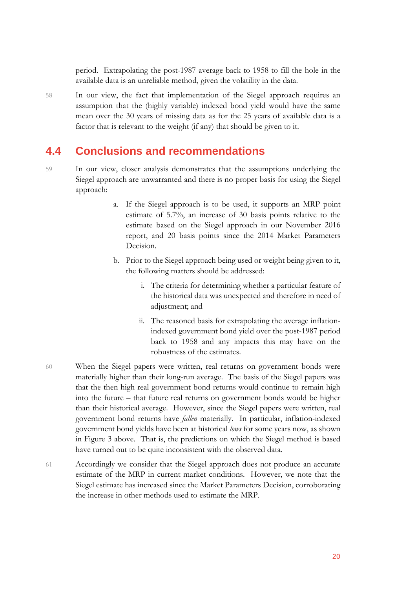period. Extrapolating the post-1987 average back to 1958 to fill the hole in the available data is an unreliable method, given the volatility in the data.

58 In our view, the fact that implementation of the Siegel approach requires an assumption that the (highly variable) indexed bond yield would have the same mean over the 30 years of missing data as for the 25 years of available data is a factor that is relevant to the weight (if any) that should be given to it.

### <span id="page-20-0"></span>**4.4 Conclusions and recommendations**

- 59 In our view, closer analysis demonstrates that the assumptions underlying the Siegel approach are unwarranted and there is no proper basis for using the Siegel approach:
	- a. If the Siegel approach is to be used, it supports an MRP point estimate of 5.7%, an increase of 30 basis points relative to the estimate based on the Siegel approach in our November 2016 report, and 20 basis points since the 2014 Market Parameters Decision.
	- b. Prior to the Siegel approach being used or weight being given to it, the following matters should be addressed:
		- i. The criteria for determining whether a particular feature of the historical data was unexpected and therefore in need of adjustment; and
		- ii. The reasoned basis for extrapolating the average inflationindexed government bond yield over the post-1987 period back to 1958 and any impacts this may have on the robustness of the estimates.
- 60 When the Siegel papers were written, real returns on government bonds were materially higher than their long-run average. The basis of the Siegel papers was that the then high real government bond returns would continue to remain high into the future – that future real returns on government bonds would be higher than their historical average. However, since the Siegel papers were written, real government bond returns have *fallen* materially. In particular, inflation-indexed government bond yields have been at historical *lows* for some years now, as shown in Figure 3 above. That is, the predictions on which the Siegel method is based have turned out to be quite inconsistent with the observed data.
- 61 Accordingly we consider that the Siegel approach does not produce an accurate estimate of the MRP in current market conditions. However, we note that the Siegel estimate has increased since the Market Parameters Decision, corroborating the increase in other methods used to estimate the MRP.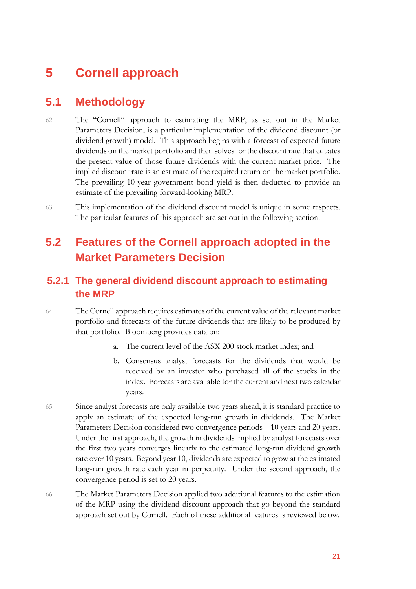## <span id="page-21-0"></span>**5 Cornell approach**

### <span id="page-21-1"></span>**5.1 Methodology**

- 62 The "Cornell" approach to estimating the MRP, as set out in the Market Parameters Decision, is a particular implementation of the dividend discount (or dividend growth) model. This approach begins with a forecast of expected future dividends on the market portfolio and then solves for the discount rate that equates the present value of those future dividends with the current market price. The implied discount rate is an estimate of the required return on the market portfolio. The prevailing 10-year government bond yield is then deducted to provide an estimate of the prevailing forward-looking MRP.
- 63 This implementation of the dividend discount model is unique in some respects. The particular features of this approach are set out in the following section.

## <span id="page-21-2"></span>**5.2 Features of the Cornell approach adopted in the Market Parameters Decision**

### **5.2.1 The general dividend discount approach to estimating the MRP**

- 64 The Cornell approach requires estimates of the current value of the relevant market portfolio and forecasts of the future dividends that are likely to be produced by that portfolio. Bloomberg provides data on:
	- a. The current level of the ASX 200 stock market index; and
	- b. Consensus analyst forecasts for the dividends that would be received by an investor who purchased all of the stocks in the index. Forecasts are available for the current and next two calendar years.
- 65 Since analyst forecasts are only available two years ahead, it is standard practice to apply an estimate of the expected long-run growth in dividends. The Market Parameters Decision considered two convergence periods – 10 years and 20 years. Under the first approach, the growth in dividends implied by analyst forecasts over the first two years converges linearly to the estimated long-run dividend growth rate over 10 years. Beyond year 10, dividends are expected to grow at the estimated long-run growth rate each year in perpetuity. Under the second approach, the convergence period is set to 20 years.
- 66 The Market Parameters Decision applied two additional features to the estimation of the MRP using the dividend discount approach that go beyond the standard approach set out by Cornell. Each of these additional features is reviewed below.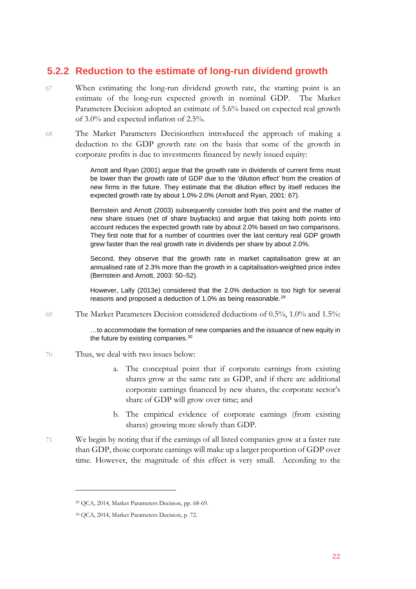#### **5.2.2 Reduction to the estimate of long-run dividend growth**

- 67 When estimating the long-run dividend growth rate, the starting point is an estimate of the long-run expected growth in nominal GDP. The Market Parameters Decision adopted an estimate of 5.6% based on expected real growth of 3.0% and expected inflation of 2.5%.
- 68 The Market Parameters Decisionthen introduced the approach of making a deduction to the GDP growth rate on the basis that some of the growth in corporate profits is due to investments financed by newly issued equity:

Arnott and Ryan (2001) argue that the growth rate in dividends of current firms must be lower than the growth rate of GDP due to the 'dilution effect' from the creation of new firms in the future. They estimate that the dilution effect by itself reduces the expected growth rate by about 1.0%‐2.0% (Arnott and Ryan, 2001: 67).

Bernstein and Arnott (2003) subsequently consider both this point and the matter of new share issues (net of share buybacks) and argue that taking both points into account reduces the expected growth rate by about 2.0% based on two comparisons. They first note that for a number of countries over the last century real GDP growth grew faster than the real growth rate in dividends per share by about 2.0%.

Second, they observe that the growth rate in market capitalisation grew at an annualised rate of 2.3% more than the growth in a capitalisation‐weighted price index (Bernstein and Arnott, 2003: 50–52).

However, Lally (2013e) considered that the 2.0% deduction is too high for several reasons and proposed a deduction of 1.0% as being reasonable.<sup>[29](#page-22-0)</sup>

69 The Market Parameters Decision considered deductions of 0.5%, 1.0% and 1.5%:

…to accommodate the formation of new companies and the issuance of new equity in the future by existing companies.<sup>[30](#page-22-1)</sup>

- 70 Thus, we deal with two issues below:
	- a. The conceptual point that if corporate earnings from existing shares grow at the same rate as GDP, and if there are additional corporate earnings financed by new shares, the corporate sector's share of GDP will grow over time; and
	- b. The empirical evidence of corporate earnings (from existing shares) growing more slowly than GDP.
- 71 We begin by noting that if the earnings of all listed companies grow at a faster rate than GDP, those corporate earnings will make up a larger proportion of GDP over time. However, the magnitude of this effect is very small. According to the

<span id="page-22-0"></span><sup>29</sup> QCA, 2014, Market Parameters Decision, pp. 68-69.

<span id="page-22-1"></span><sup>30</sup> QCA, 2014, Market Parameters Decision, p. 72.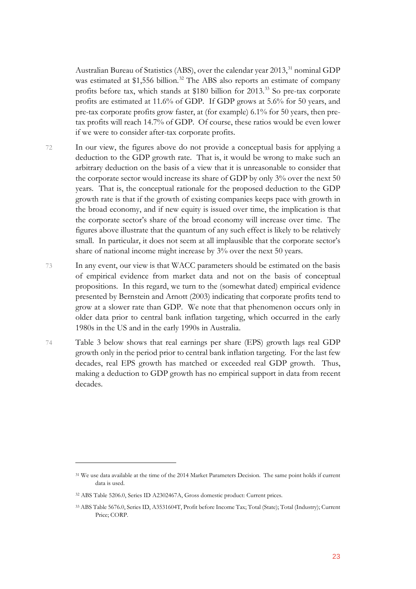Australian Bureau of Statistics (ABS), over the calendar year 2013,<sup>[31](#page-23-0)</sup> nominal GDP was estimated at \$1,556 billion.<sup>[32](#page-23-1)</sup> The ABS also reports an estimate of company profits before tax, which stands at \$180 billion for 2013.<sup>[33](#page-23-2)</sup> So pre-tax corporate profits are estimated at 11.6% of GDP. If GDP grows at 5.6% for 50 years, and pre-tax corporate profits grow faster, at (for example) 6.1% for 50 years, then pretax profits will reach 14.7% of GDP. Of course, these ratios would be even lower if we were to consider after-tax corporate profits.

- 72 In our view, the figures above do not provide a conceptual basis for applying a deduction to the GDP growth rate. That is, it would be wrong to make such an arbitrary deduction on the basis of a view that it is unreasonable to consider that the corporate sector would increase its share of GDP by only 3% over the next 50 years. That is, the conceptual rationale for the proposed deduction to the GDP growth rate is that if the growth of existing companies keeps pace with growth in the broad economy, and if new equity is issued over time, the implication is that the corporate sector's share of the broad economy will increase over time. The figures above illustrate that the quantum of any such effect is likely to be relatively small. In particular, it does not seem at all implausible that the corporate sector's share of national income might increase by 3% over the next 50 years.
- 73 In any event, our view is that WACC parameters should be estimated on the basis of empirical evidence from market data and not on the basis of conceptual propositions. In this regard, we turn to the (somewhat dated) empirical evidence presented by Bernstein and Arnott (2003) indicating that corporate profits tend to grow at a slower rate than GDP. We note that that phenomenon occurs only in older data prior to central bank inflation targeting, which occurred in the early 1980s in the US and in the early 1990s in Australia.
- 74 Table 3 below shows that real earnings per share (EPS) growth lags real GDP growth only in the period prior to central bank inflation targeting. For the last few decades, real EPS growth has matched or exceeded real GDP growth. Thus, making a deduction to GDP growth has no empirical support in data from recent decades.

<span id="page-23-0"></span><sup>31</sup> We use data available at the time of the 2014 Market Parameters Decision. The same point holds if current data is used.

<span id="page-23-1"></span><sup>32</sup> ABS Table 5206.0, Series ID A2302467A, Gross domestic product: Current prices.

<span id="page-23-2"></span><sup>33</sup> ABS Table 5676.0, Series ID, A3531604T, Profit before Income Tax; Total (State); Total (Industry); Current Price; CORP.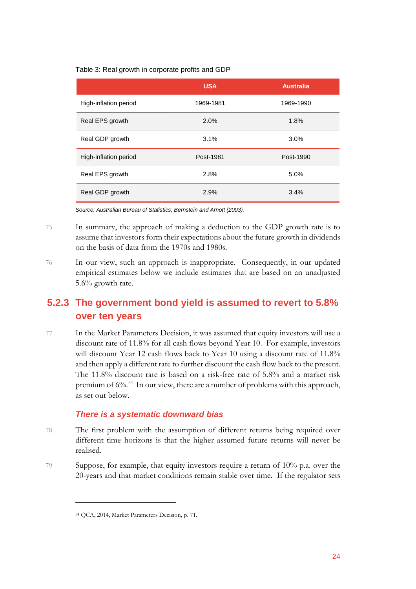Table 3: Real growth in corporate profits and GDP

|                       | <b>USA</b> | <b>Australia</b> |
|-----------------------|------------|------------------|
| High-inflation period | 1969-1981  | 1969-1990        |
| Real EPS growth       | 2.0%       | 1.8%             |
| Real GDP growth       | 3.1%       | 3.0%             |
| High-inflation period | Post-1981  | Post-1990        |
| Real EPS growth       | 2.8%       | 5.0%             |
| Real GDP growth       | 2.9%       | 3.4%             |

*Source: Australian Bureau of Statistics; Bernstein and Arnott (2003).* 

- 75 In summary, the approach of making a deduction to the GDP growth rate is to assume that investors form their expectations about the future growth in dividends on the basis of data from the 1970s and 1980s.
- 76 In our view, such an approach is inappropriate. Consequently, in our updated empirical estimates below we include estimates that are based on an unadjusted 5.6% growth rate.

### **5.2.3 The government bond yield is assumed to revert to 5.8% over ten years**

77 In the Market Parameters Decision, it was assumed that equity investors will use a discount rate of 11.8% for all cash flows beyond Year 10. For example, investors will discount Year 12 cash flows back to Year 10 using a discount rate of 11.8% and then apply a different rate to further discount the cash flow back to the present. The 11.8% discount rate is based on a risk-free rate of 5.8% and a market risk premium of 6%.[34](#page-24-0) In our view, there are a number of problems with this approach, as set out below.

#### *There is a systematic downward bias*

- 78 The first problem with the assumption of different returns being required over different time horizons is that the higher assumed future returns will never be realised.
- <span id="page-24-0"></span>79 Suppose, for example, that equity investors require a return of 10% p.a. over the 20-years and that market conditions remain stable over time. If the regulator sets

<sup>34</sup> QCA, 2014, Market Parameters Decision, p. 71.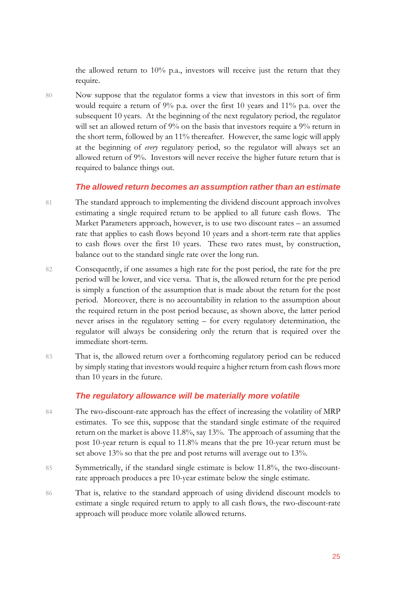the allowed return to 10% p.a., investors will receive just the return that they require.

80 Now suppose that the regulator forms a view that investors in this sort of firm would require a return of 9% p.a. over the first 10 years and 11% p.a. over the subsequent 10 years. At the beginning of the next regulatory period, the regulator will set an allowed return of 9% on the basis that investors require a 9% return in the short term, followed by an 11% thereafter. However, the same logic will apply at the beginning of *every* regulatory period, so the regulator will always set an allowed return of 9%. Investors will never receive the higher future return that is required to balance things out.

#### *The allowed return becomes an assumption rather than an estimate*

- 81 The standard approach to implementing the dividend discount approach involves estimating a single required return to be applied to all future cash flows. The Market Parameters approach, however, is to use two discount rates – an assumed rate that applies to cash flows beyond 10 years and a short-term rate that applies to cash flows over the first 10 years. These two rates must, by construction, balance out to the standard single rate over the long run.
- 82 Consequently, if one assumes a high rate for the post period, the rate for the pre period will be lower, and vice versa. That is, the allowed return for the pre period is simply a function of the assumption that is made about the return for the post period. Moreover, there is no accountability in relation to the assumption about the required return in the post period because, as shown above, the latter period never arises in the regulatory setting – for every regulatory determination, the regulator will always be considering only the return that is required over the immediate short-term.
- 83 That is, the allowed return over a forthcoming regulatory period can be reduced by simply stating that investors would require a higher return from cash flows more than 10 years in the future.

#### *The regulatory allowance will be materially more volatile*

- 84 The two-discount-rate approach has the effect of increasing the volatility of MRP estimates. To see this, suppose that the standard single estimate of the required return on the market is above 11.8%, say 13%. The approach of assuming that the post 10-year return is equal to 11.8% means that the pre 10-year return must be set above 13% so that the pre and post returns will average out to 13%.
- 85 Symmetrically, if the standard single estimate is below 11.8%, the two-discountrate approach produces a pre 10-year estimate below the single estimate.
- 86 That is, relative to the standard approach of using dividend discount models to estimate a single required return to apply to all cash flows, the two-discount-rate approach will produce more volatile allowed returns.

25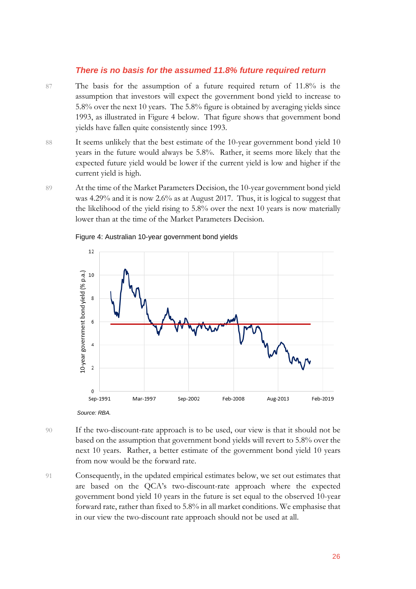#### *There is no basis for the assumed 11.8% future required return*

- 87 The basis for the assumption of a future required return of 11.8% is the assumption that investors will expect the government bond yield to increase to 5.8% over the next 10 years. The 5.8% figure is obtained by averaging yields since 1993, as illustrated in Figure 4 below. That figure shows that government bond yields have fallen quite consistently since 1993.
- 88 It seems unlikely that the best estimate of the 10-year government bond yield 10 years in the future would always be 5.8%. Rather, it seems more likely that the expected future yield would be lower if the current yield is low and higher if the current yield is high.
- 89 At the time of the Market Parameters Decision, the 10-year government bond yield was 4.29% and it is now 2.6% as at August 2017. Thus, it is logical to suggest that the likelihood of the yield rising to 5.8% over the next 10 years is now materially lower than at the time of the Market Parameters Decision.



#### Figure 4: Australian 10-year government bond yields

- 90 If the two-discount-rate approach is to be used, our view is that it should not be based on the assumption that government bond yields will revert to 5.8% over the next 10 years. Rather, a better estimate of the government bond yield 10 years from now would be the forward rate.
- 91 Consequently, in the updated empirical estimates below, we set out estimates that are based on the QCA's two-discount-rate approach where the expected government bond yield 10 years in the future is set equal to the observed 10-year forward rate, rather than fixed to 5.8% in all market conditions. We emphasise that in our view the two-discount rate approach should not be used at all.

*Source: RBA.*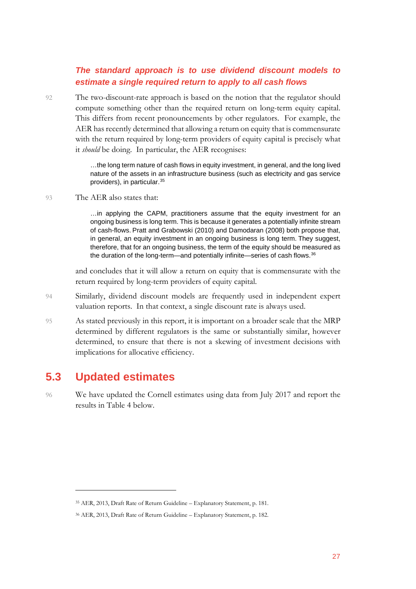#### *The standard approach is to use dividend discount models to estimate a single required return to apply to all cash flows*

92 The two-discount-rate approach is based on the notion that the regulator should compute something other than the required return on long-term equity capital. This differs from recent pronouncements by other regulators. For example, the AER has recently determined that allowing a return on equity that is commensurate with the return required by long-term providers of equity capital is precisely what it *should* be doing. In particular, the AER recognises:

> …the long term nature of cash flows in equity investment, in general, and the long lived nature of the assets in an infrastructure business (such as electricity and gas service providers), in particular.[35](#page-27-1)

93 The AER also states that:

…in applying the CAPM, practitioners assume that the equity investment for an ongoing business is long term. This is because it generates a potentially infinite stream of cash-flows. Pratt and Grabowski (2010) and Damodaran (2008) both propose that, in general, an equity investment in an ongoing business is long term. They suggest, therefore, that for an ongoing business, the term of the equity should be measured as the duration of the long-term—and potentially infinite—series of cash flows.<sup>[36](#page-27-2)</sup>

and concludes that it will allow a return on equity that is commensurate with the return required by long-term providers of equity capital.

- 94 Similarly, dividend discount models are frequently used in independent expert valuation reports. In that context, a single discount rate is always used.
- 95 As stated previously in this report, it is important on a broader scale that the MRP determined by different regulators is the same or substantially similar, however determined, to ensure that there is not a skewing of investment decisions with implications for allocative efficiency.

### <span id="page-27-0"></span>**5.3 Updated estimates**

 $\overline{a}$ 

96 We have updated the Cornell estimates using data from July 2017 and report the results in Table 4 below.

<span id="page-27-1"></span><sup>35</sup> AER, 2013, Draft Rate of Return Guideline – Explanatory Statement, p. 181.

<span id="page-27-2"></span><sup>36</sup> AER, 2013, Draft Rate of Return Guideline – Explanatory Statement, p. 182.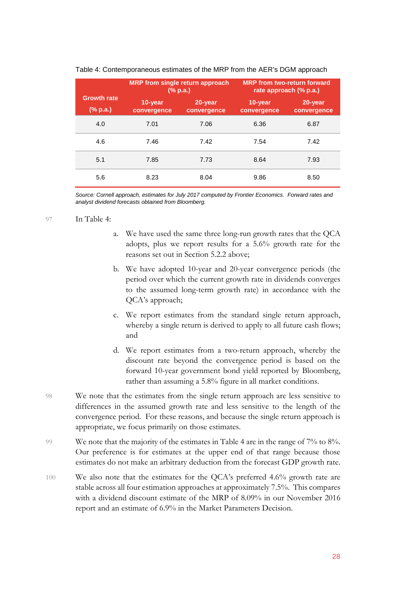|                                                 |                        | <b>MRP</b> from single return approach<br>$(\%$ p.a.) |                        | <b>MRP</b> from two-return forward<br>rate approach (% p.a.) |
|-------------------------------------------------|------------------------|-------------------------------------------------------|------------------------|--------------------------------------------------------------|
| <b>Growth rate</b><br>$(% \mathbf{a})$ (% p.a.) | 10-year<br>convergence | 20-year<br>convergence                                | 10-year<br>convergence | 20-year<br>convergence                                       |
| 4.0                                             | 7.01                   | 7.06                                                  | 6.36                   | 6.87                                                         |
| 4.6                                             | 7.46                   | 7.42                                                  | 7.54                   | 7.42                                                         |
| 5.1                                             | 7.85                   | 7.73                                                  | 8.64                   | 7.93                                                         |
| 5.6                                             | 8.23                   | 8.04                                                  | 9.86                   | 8.50                                                         |

#### Table 4: Contemporaneous estimates of the MRP from the AER's DGM approach

*Source: Cornell approach, estimates for July 2017 computed by Frontier Economics. Forward rates and analyst dividend forecasts obtained from Bloomberg.* 

#### 97 In Table 4:

- a. We have used the same three long-run growth rates that the QCA adopts, plus we report results for a 5.6% growth rate for the reasons set out in Section 5.2.2 above;
- b. We have adopted 10-year and 20-year convergence periods (the period over which the current growth rate in dividends converges to the assumed long-term growth rate) in accordance with the QCA's approach;
- c. We report estimates from the standard single return approach, whereby a single return is derived to apply to all future cash flows; and
- d. We report estimates from a two-return approach, whereby the discount rate beyond the convergence period is based on the forward 10-year government bond yield reported by Bloomberg, rather than assuming a 5.8% figure in all market conditions.
- 98 We note that the estimates from the single return approach are less sensitive to differences in the assumed growth rate and less sensitive to the length of the convergence period. For these reasons, and because the single return approach is appropriate, we focus primarily on those estimates.
- 99 We note that the majority of the estimates in Table 4 are in the range of 7% to 8%. Our preference is for estimates at the upper end of that range because those estimates do not make an arbitrary deduction from the forecast GDP growth rate.
- 100 We also note that the estimates for the QCA's preferred 4.6% growth rate are stable across all four estimation approaches at approximately 7.5%. This compares with a dividend discount estimate of the MRP of 8.09% in our November 2016 report and an estimate of 6.9% in the Market Parameters Decision.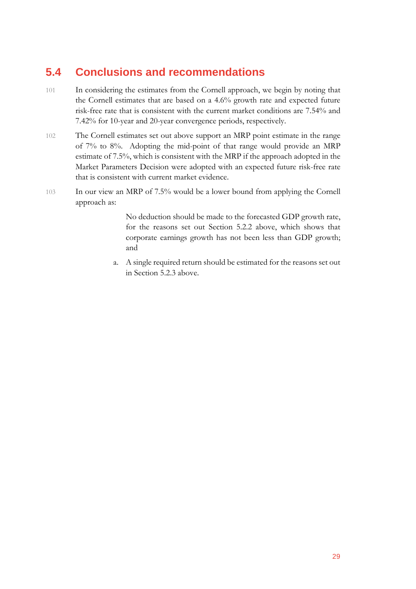## <span id="page-29-0"></span>**5.4 Conclusions and recommendations**

- 101 In considering the estimates from the Cornell approach, we begin by noting that the Cornell estimates that are based on a 4.6% growth rate and expected future risk-free rate that is consistent with the current market conditions are 7.54% and 7.42% for 10-year and 20-year convergence periods, respectively.
- 102 The Cornell estimates set out above support an MRP point estimate in the range of 7% to 8%. Adopting the mid-point of that range would provide an MRP estimate of 7.5%, which is consistent with the MRP if the approach adopted in the Market Parameters Decision were adopted with an expected future risk-free rate that is consistent with current market evidence.
- 103 In our view an MRP of 7.5% would be a lower bound from applying the Cornell approach as:

No deduction should be made to the forecasted GDP growth rate, for the reasons set out Section 5.2.2 above, which shows that corporate earnings growth has not been less than GDP growth; and

a. A single required return should be estimated for the reasons set out in Section 5.2.3 above.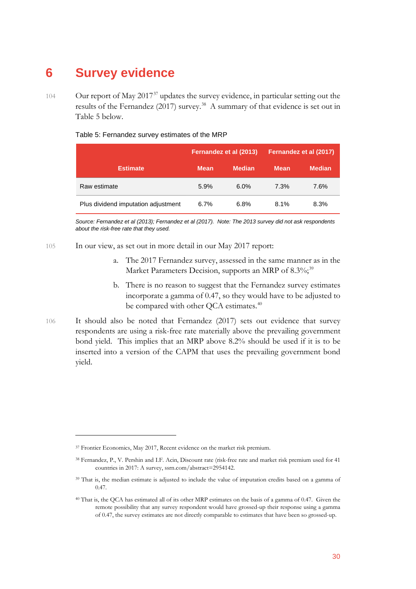## <span id="page-30-0"></span>**6 Survey evidence**

104 Our report of May 2017<sup>[37](#page-30-1)</sup> updates the survey evidence, in particular setting out the results of the Fernandez (2017) survey.<sup>38</sup> A summary of that evidence is set out in Table 5 below.

|                                     |             | Fernandez et al (2013) |             | Fernandez et al (2017) |
|-------------------------------------|-------------|------------------------|-------------|------------------------|
| <b>Estimate</b>                     | <b>Mean</b> | <b>Median</b>          | <b>Mean</b> | <b>Median</b>          |
| Raw estimate                        | 5.9%        | $6.0\%$                | 7.3%        | 7.6%                   |
| Plus dividend imputation adjustment | 6.7%        | 6.8%                   | 8.1%        | 8.3%                   |

Table 5: Fernandez survey estimates of the MRP

*Source: Fernandez et al (2013); Fernandez et al (2017). Note: The 2013 survey did not ask respondents about the risk-free rate that they used.* 

- 105 In our view, as set out in more detail in our May 2017 report:
	- a. The 2017 Fernandez survey, assessed in the same manner as in the Market Parameters Decision, supports an MRP of 8.3%;<sup>[39](#page-30-3)</sup>
	- b. There is no reason to suggest that the Fernandez survey estimates incorporate a gamma of 0.47, so they would have to be adjusted to be compared with other QCA estimates.<sup>[40](#page-30-4)</sup>
- 106 It should also be noted that Fernandez (2017) sets out evidence that survey respondents are using a risk-free rate materially above the prevailing government bond yield. This implies that an MRP above 8.2% should be used if it is to be inserted into a version of the CAPM that uses the prevailing government bond yield.

<span id="page-30-1"></span><sup>&</sup>lt;sup>37</sup> Frontier Economics, May 2017, Recent evidence on the market risk premium.

<span id="page-30-2"></span><sup>38</sup> Fernandez, P., V. Pershin and I.F. Acin, Discount rate (risk-free rate and market risk premium used for 41 countries in 2017: A survey, ssrn.com/abstract=2954142.

<span id="page-30-3"></span><sup>&</sup>lt;sup>39</sup> That is, the median estimate is adjusted to include the value of imputation credits based on a gamma of 0.47.

<span id="page-30-4"></span><sup>40</sup> That is, the QCA has estimated all of its other MRP estimates on the basis of a gamma of 0.47. Given the remote possibility that any survey respondent would have grossed-up their response using a gamma of 0.47, the survey estimates are not directly comparable to estimates that have been so grossed-up.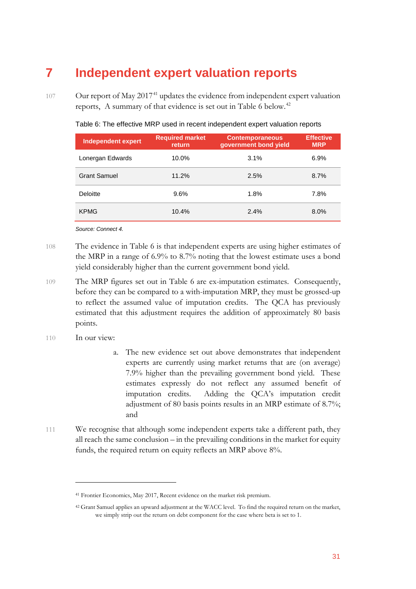## <span id="page-31-0"></span>**7 Independent expert valuation reports**

107 Our report of May 2017<sup>[41](#page-31-1)</sup> updates the evidence from independent expert valuation reports, A summary of that evidence is set out in Table 6 below.<sup>[42](#page-31-2)</sup>

| <b>Independent expert</b> | <b>Required market</b><br>return | <b>Contemporaneous</b><br>government bond yield | <b>Effective</b><br><b>MRP</b> |
|---------------------------|----------------------------------|-------------------------------------------------|--------------------------------|
| Lonergan Edwards          | 10.0%                            | 3.1%                                            | 6.9%                           |
| <b>Grant Samuel</b>       | 11.2%                            | 2.5%                                            | 8.7%                           |
| <b>Deloitte</b>           | 9.6%                             | 1.8%                                            | 7.8%                           |
| <b>KPMG</b>               | 10.4%                            | 2.4%                                            | 8.0%                           |

Table 6: The effective MRP used in recent independent expert valuation reports

*Source: Connect 4.*

- 108 The evidence in Table 6 is that independent experts are using higher estimates of the MRP in a range of 6.9% to 8.7% noting that the lowest estimate uses a bond yield considerably higher than the current government bond yield.
- 109 The MRP figures set out in Table 6 are ex-imputation estimates. Consequently, before they can be compared to a with-imputation MRP, they must be grossed-up to reflect the assumed value of imputation credits. The QCA has previously estimated that this adjustment requires the addition of approximately 80 basis points.
- 110 In our view:

- a. The new evidence set out above demonstrates that independent experts are currently using market returns that are (on average) 7.9% higher than the prevailing government bond yield. These estimates expressly do not reflect any assumed benefit of imputation credits. Adding the QCA's imputation credit adjustment of 80 basis points results in an MRP estimate of 8.7%; and
- 111 We recognise that although some independent experts take a different path, they all reach the same conclusion – in the prevailing conditions in the market for equity funds, the required return on equity reflects an MRP above 8%.

<span id="page-31-1"></span><sup>41</sup> Frontier Economics, May 2017, Recent evidence on the market risk premium.

<span id="page-31-2"></span><sup>42</sup> Grant Samuel applies an upward adjustment at the WACC level. To find the required return on the market, we simply strip out the return on debt component for the case where beta is set to 1.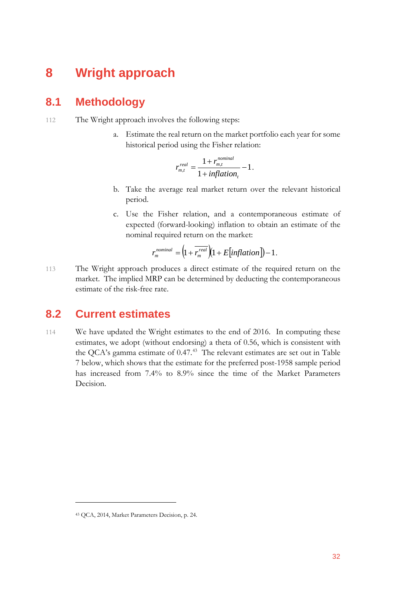## <span id="page-32-0"></span>**8 Wright approach**

#### <span id="page-32-1"></span>**8.1 Methodology**

- 112 The Wright approach involves the following steps:
	- a. Estimate the real return on the market portfolio each year for some historical period using the Fisher relation:

$$
r_{m,t}^{real} = \frac{1 + r_{m,t}^{nominal}}{1 + inflation_t} - 1.
$$

- b. Take the average real market return over the relevant historical period.
- c. Use the Fisher relation, and a contemporaneous estimate of expected (forward-looking) inflation to obtain an estimate of the nominal required return on the market:

$$
r_m^{nominal} = \left(1 + \overline{r_m^{real}}\right)\left(1 + E\left[inflation\right]\right) - 1.
$$

113 The Wright approach produces a direct estimate of the required return on the market. The implied MRP can be determined by deducting the contemporaneous estimate of the risk-free rate.

### <span id="page-32-2"></span>**8.2 Current estimates**

114 We have updated the Wright estimates to the end of 2016. In computing these estimates, we adopt (without endorsing) a theta of 0.56, which is consistent with the QCA's gamma estimate of 0.47.[43](#page-32-3) The relevant estimates are set out in Table 7 below, which shows that the estimate for the preferred post-1958 sample period has increased from 7.4% to 8.9% since the time of the Market Parameters Decision.

<span id="page-32-3"></span><sup>43</sup> QCA, 2014, Market Parameters Decision, p. 24.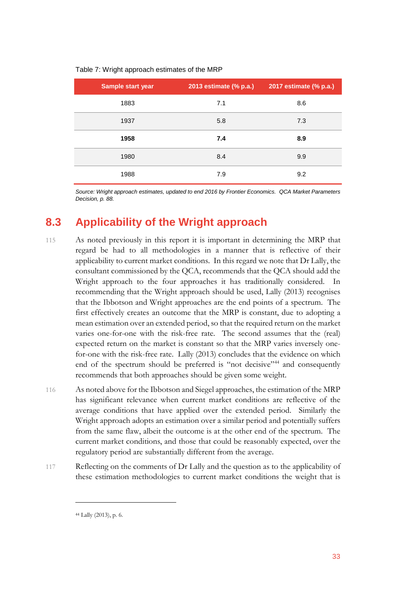| Sample start year | 2013 estimate (% p.a.) | 2017 estimate (% p.a.) |
|-------------------|------------------------|------------------------|
|                   |                        |                        |
| 1883              | 7.1                    | 8.6                    |
| 1937              | 5.8                    | 7.3                    |
| 1958              | 7.4                    | 8.9                    |
| 1980              | 8.4                    | 9.9                    |
| 1988              | 7.9                    | 9.2                    |

#### Table 7: Wright approach estimates of the MRP

<span id="page-33-0"></span>*Source: Wright approach estimates, updated to end 2016 by Frontier Economics. QCA Market Parameters Decision, p. 88.* 

### **8.3 Applicability of the Wright approach**

- 115 As noted previously in this report it is important in determining the MRP that regard be had to all methodologies in a manner that is reflective of their applicability to current market conditions. In this regard we note that Dr Lally, the consultant commissioned by the QCA, recommends that the QCA should add the Wright approach to the four approaches it has traditionally considered. In recommending that the Wright approach should be used, Lally (2013) recognises that the Ibbotson and Wright approaches are the end points of a spectrum. The first effectively creates an outcome that the MRP is constant, due to adopting a mean estimation over an extended period, so that the required return on the market varies one-for-one with the risk-free rate. The second assumes that the (real) expected return on the market is constant so that the MRP varies inversely onefor-one with the risk-free rate. Lally (2013) concludes that the evidence on which end of the spectrum should be preferred is "not decisive"<sup>[44](#page-33-1)</sup> and consequently recommends that both approaches should be given some weight.
- 116 As noted above for the Ibbotson and Siegel approaches, the estimation of the MRP has significant relevance when current market conditions are reflective of the average conditions that have applied over the extended period. Similarly the Wright approach adopts an estimation over a similar period and potentially suffers from the same flaw, albeit the outcome is at the other end of the spectrum. The current market conditions, and those that could be reasonably expected, over the regulatory period are substantially different from the average.
- <span id="page-33-1"></span>117 Reflecting on the comments of Dr Lally and the question as to the applicability of these estimation methodologies to current market conditions the weight that is

<sup>44</sup> Lally (2013), p. 6.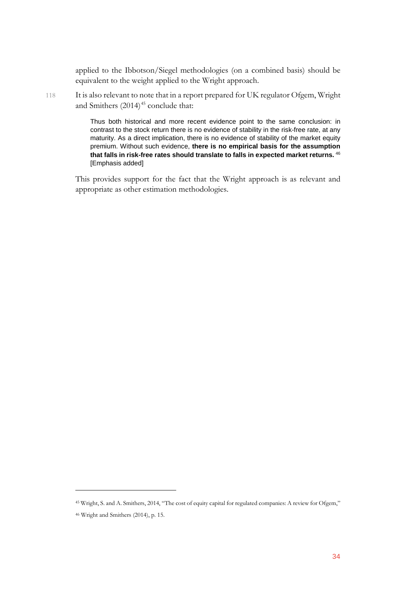applied to the Ibbotson/Siegel methodologies (on a combined basis) should be equivalent to the weight applied to the Wright approach.

118 It is also relevant to note that in a report prepared for UK regulator Ofgem, Wright and Smithers  $(2014)^{45}$  $(2014)^{45}$  $(2014)^{45}$  conclude that:

> Thus both historical and more recent evidence point to the same conclusion: in contrast to the stock return there is no evidence of stability in the risk-free rate, at any maturity. As a direct implication, there is no evidence of stability of the market equity premium. Without such evidence, **there is no empirical basis for the assumption that falls in risk-free rates should translate to falls in expected market returns.** [46](#page-34-1) [Emphasis added]

This provides support for the fact that the Wright approach is as relevant and appropriate as other estimation methodologies.

<span id="page-34-0"></span><sup>45</sup> Wright, S. and A. Smithers, 2014, "The cost of equity capital for regulated companies: A review for Ofgem,"

<span id="page-34-1"></span><sup>46</sup> Wright and Smithers (2014), p. 15.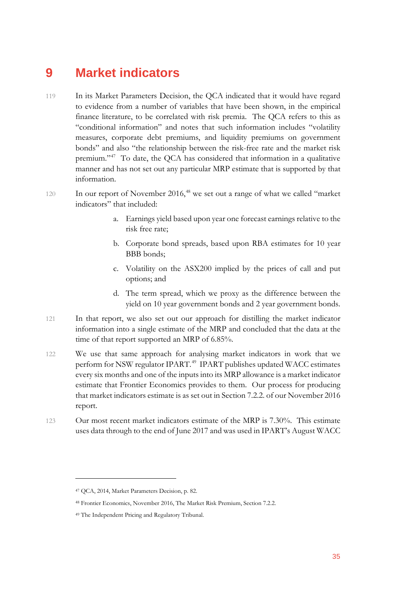## <span id="page-35-0"></span>**9 Market indicators**

- 119 In its Market Parameters Decision, the QCA indicated that it would have regard to evidence from a number of variables that have been shown, in the empirical finance literature, to be correlated with risk premia. The QCA refers to this as "conditional information" and notes that such information includes "volatility measures, corporate debt premiums, and liquidity premiums on government bonds" and also "the relationship between the risk-free rate and the market risk premium."[47](#page-35-1) To date, the QCA has considered that information in a qualitative manner and has not set out any particular MRP estimate that is supported by that information.
- 120 In our report of November 2016,<sup>[48](#page-35-2)</sup> we set out a range of what we called "market" indicators" that included:
	- a. Earnings yield based upon year one forecast earnings relative to the risk free rate;
	- b. Corporate bond spreads, based upon RBA estimates for 10 year BBB bonds;
	- c. Volatility on the ASX200 implied by the prices of call and put options; and
	- d. The term spread, which we proxy as the difference between the yield on 10 year government bonds and 2 year government bonds.
- 121 In that report, we also set out our approach for distilling the market indicator information into a single estimate of the MRP and concluded that the data at the time of that report supported an MRP of 6.85%.
- 122 We use that same approach for analysing market indicators in work that we perform for NSW regulator IPART.<sup>49</sup> IPART publishes updated WACC estimates every six months and one of the inputs into its MRP allowance is a market indicator estimate that Frontier Economics provides to them. Our process for producing that market indicators estimate is as set out in Section 7.2.2. of our November 2016 report.
- 123 Our most recent market indicators estimate of the MRP is 7.30%. This estimate uses data through to the end of June 2017 and was used in IPART's August WACC

<span id="page-35-1"></span><sup>47</sup> QCA, 2014, Market Parameters Decision, p. 82.

<span id="page-35-2"></span><sup>48</sup> Frontier Economics, November 2016, The Market Risk Premium, Section 7.2.2.

<span id="page-35-3"></span><sup>49</sup> The Independent Pricing and Regulatory Tribunal.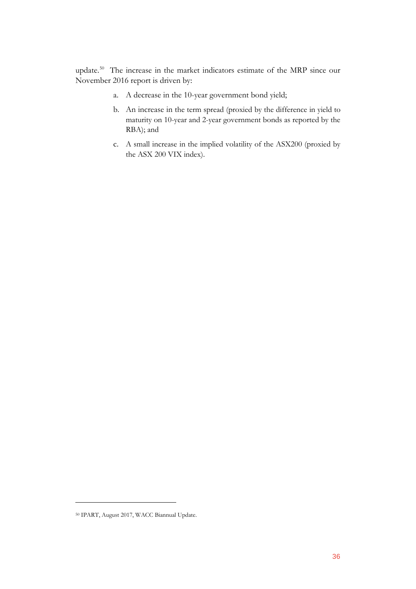update. [50](#page-36-0) The increase in the market indicators estimate of the MRP since our November 2016 report is driven by:

- a. A decrease in the 10-year government bond yield;
- b. An increase in the term spread (proxied by the difference in yield to maturity on 10-year and 2-year government bonds as reported by the RBA); and
- c. A small increase in the implied volatility of the ASX200 (proxied by the ASX 200 VIX index).

<span id="page-36-0"></span><sup>50</sup> IPART, August 2017, WACC Biannual Update.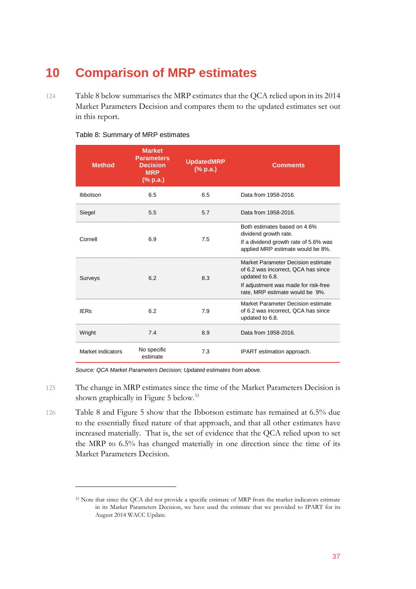## <span id="page-37-0"></span>**10 Comparison of MRP estimates**

124 Table 8 below summarises the MRP estimates that the QCA relied upon in its 2014 Market Parameters Decision and compares them to the updated estimates set out in this report.

| <b>Method</b>     | <b>Market</b><br><b>Parameters</b><br><b>Decision</b><br><b>MRP</b><br>(% p.a.) | <b>UpdatedMRP</b><br>(% p.a.) | <b>Comments</b>                                                                                                                                                         |
|-------------------|---------------------------------------------------------------------------------|-------------------------------|-------------------------------------------------------------------------------------------------------------------------------------------------------------------------|
| Ibbotson          | 6.5                                                                             | 6.5                           | Data from 1958-2016.                                                                                                                                                    |
| Siegel            | 5.5                                                                             | 5.7                           | Data from 1958-2016.                                                                                                                                                    |
| Cornell           | 6.9                                                                             | 7.5                           | Both estimates based on 4.6%<br>dividend growth rate.<br>If a dividend growth rate of 5.6% was<br>applied MRP estimate would be 8%.                                     |
| Surveys           | 6.2                                                                             | 8.3                           | Market Parameter Decision estimate<br>of 6.2 was incorrect, QCA has since<br>updated to 6.8.<br>If adjustment was made for risk-free<br>rate, MRP estimate would be 9%. |
| <b>IERs</b>       | 6.2                                                                             | 7.9                           | Market Parameter Decision estimate<br>of 6.2 was incorrect, QCA has since<br>updated to 6.8.                                                                            |
| Wright            | 7.4                                                                             | 8.9                           | Data from 1958-2016.                                                                                                                                                    |
| Market indicators | No specific<br>estimate                                                         | 7.3                           | IPART estimation approach.                                                                                                                                              |

#### Table 8: Summary of MRP estimates

*Source: QCA Market Parameters Decision; Updated estimates from above.* 

- 125 The change in MRP estimates since the time of the Market Parameters Decision is shown graphically in Figure 5 below.<sup>[51](#page-37-1)</sup>
- 126 Table 8 and Figure 5 show that the Ibbotson estimate has remained at 6.5% due to the essentially fixed nature of that approach, and that all other estimates have increased materially. That is, the set of evidence that the QCA relied upon to set the MRP to 6.5% has changed materially in one direction since the time of its Market Parameters Decision.

<span id="page-37-1"></span><sup>51</sup> Note that since the QCA did not provide a specific estimate of MRP from the market indicators estimate in its Market Parameters Decision, we have used the estimate that we provided to IPART for its August 2014 WACC Update.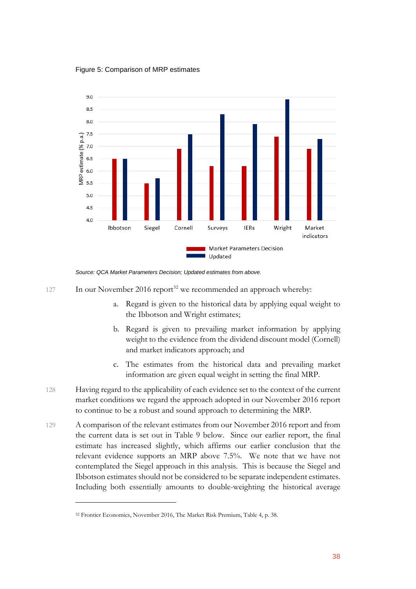Figure 5: Comparison of MRP estimates



*Source: QCA Market Parameters Decision; Updated estimates from above.* 

- 127 In our November 2016 report<sup>[52](#page-38-0)</sup> we recommended an approach whereby:
	- a. Regard is given to the historical data by applying equal weight to the Ibbotson and Wright estimates;
	- b. Regard is given to prevailing market information by applying weight to the evidence from the dividend discount model (Cornell) and market indicators approach; and
	- c. The estimates from the historical data and prevailing market information are given equal weight in setting the final MRP.
- 128 Having regard to the applicability of each evidence set to the context of the current market conditions we regard the approach adopted in our November 2016 report to continue to be a robust and sound approach to determining the MRP.
- 129 A comparison of the relevant estimates from our November 2016 report and from the current data is set out in Table 9 below. Since our earlier report, the final estimate has increased slightly, which affirms our earlier conclusion that the relevant evidence supports an MRP above 7.5%. We note that we have not contemplated the Siegel approach in this analysis. This is because the Siegel and Ibbotson estimates should not be considered to be separate independent estimates. Including both essentially amounts to double-weighting the historical average

<span id="page-38-0"></span><sup>52</sup> Frontier Economics, November 2016, The Market Risk Premium, Table 4, p. 38.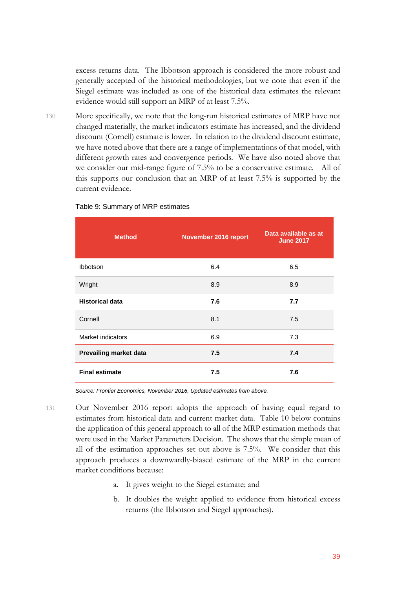excess returns data. The Ibbotson approach is considered the more robust and generally accepted of the historical methodologies, but we note that even if the Siegel estimate was included as one of the historical data estimates the relevant evidence would still support an MRP of at least 7.5%.

130 More specifically, we note that the long-run historical estimates of MRP have not changed materially, the market indicators estimate has increased, and the dividend discount (Cornell) estimate is lower. In relation to the dividend discount estimate, we have noted above that there are a range of implementations of that model, with different growth rates and convergence periods. We have also noted above that we consider our mid-range figure of 7.5% to be a conservative estimate. All of this supports our conclusion that an MRP of at least 7.5% is supported by the current evidence.

| <b>Method</b>          | November 2016 report | Data available as at<br><b>June 2017</b> |
|------------------------|----------------------|------------------------------------------|
| Ibbotson               | 6.4                  | 6.5                                      |
| Wright                 | 8.9                  | 8.9                                      |
| <b>Historical data</b> | 7.6                  | 7.7                                      |
| Cornell                | 8.1                  | 7.5                                      |
| Market indicators      | 6.9                  | 7.3                                      |
| Prevailing market data | 7.5                  | 7.4                                      |
| <b>Final estimate</b>  | 7.5                  | 7.6                                      |

#### Table 9: Summary of MRP estimates

*Source: Frontier Economics, November 2016, Updated estimates from above.* 

- 131 Our November 2016 report adopts the approach of having equal regard to estimates from historical data and current market data. Table 10 below contains the application of this general approach to all of the MRP estimation methods that were used in the Market Parameters Decision. The shows that the simple mean of all of the estimation approaches set out above is 7.5%. We consider that this approach produces a downwardly-biased estimate of the MRP in the current market conditions because:
	- a. It gives weight to the Siegel estimate; and
	- b. It doubles the weight applied to evidence from historical excess returns (the Ibbotson and Siegel approaches).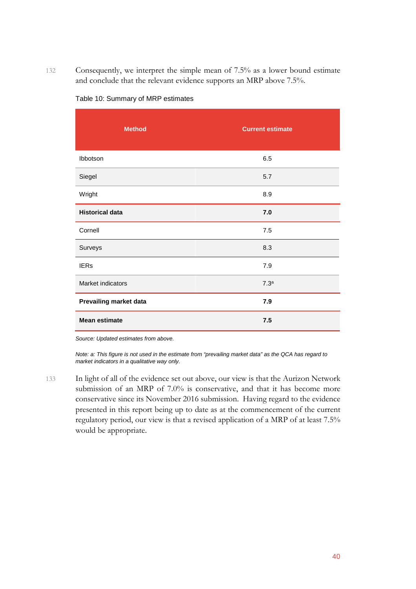132 Consequently, we interpret the simple mean of 7.5% as a lower bound estimate and conclude that the relevant evidence supports an MRP above 7.5%.

| <b>Method</b>          | <b>Current estimate</b> |
|------------------------|-------------------------|
| Ibbotson               | 6.5                     |
| Siegel                 | 5.7                     |
| Wright                 | 8.9                     |
| <b>Historical data</b> | 7.0                     |
| Cornell                | 7.5                     |
| Surveys                | 8.3                     |
| <b>IERs</b>            | 7.9                     |
| Market indicators      | 7.3 <sup>a</sup>        |
| Prevailing market data | 7.9                     |
| <b>Mean estimate</b>   | 7.5                     |

#### Table 10: Summary of MRP estimates

*Source: Updated estimates from above.*

*Note: a: This figure is not used in the estimate from "prevailing market data" as the QCA has regard to market indicators in a qualitative way only.*

133 In light of all of the evidence set out above, our view is that the Aurizon Network submission of an MRP of 7.0% is conservative, and that it has become more conservative since its November 2016 submission. Having regard to the evidence presented in this report being up to date as at the commencement of the current regulatory period, our view is that a revised application of a MRP of at least 7.5% would be appropriate.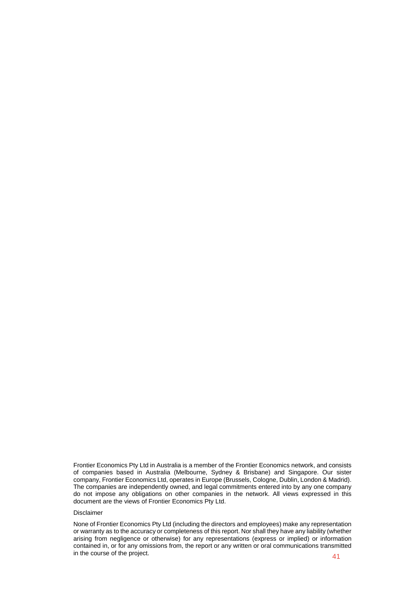Frontier Economics Pty Ltd in Australia is a member of the Frontier Economics network, and consists of companies based in Australia (Melbourne, Sydney & Brisbane) and Singapore. Our sister company, Frontier Economics Ltd, operates in Europe (Brussels, Cologne, Dublin, London & Madrid). The companies are independently owned, and legal commitments entered into by any one company do not impose any obligations on other companies in the network. All views expressed in this document are the views of Frontier Economics Pty Ltd.

#### Disclaimer

None of Frontier Economics Pty Ltd (including the directors and employees) make any representation or warranty as to the accuracy or completeness of this report. Nor shall they have any liability (whether arising from negligence or otherwise) for any representations (express or implied) or information contained in, or for any omissions from, the report or any written or oral communications transmitted in the course of the project.